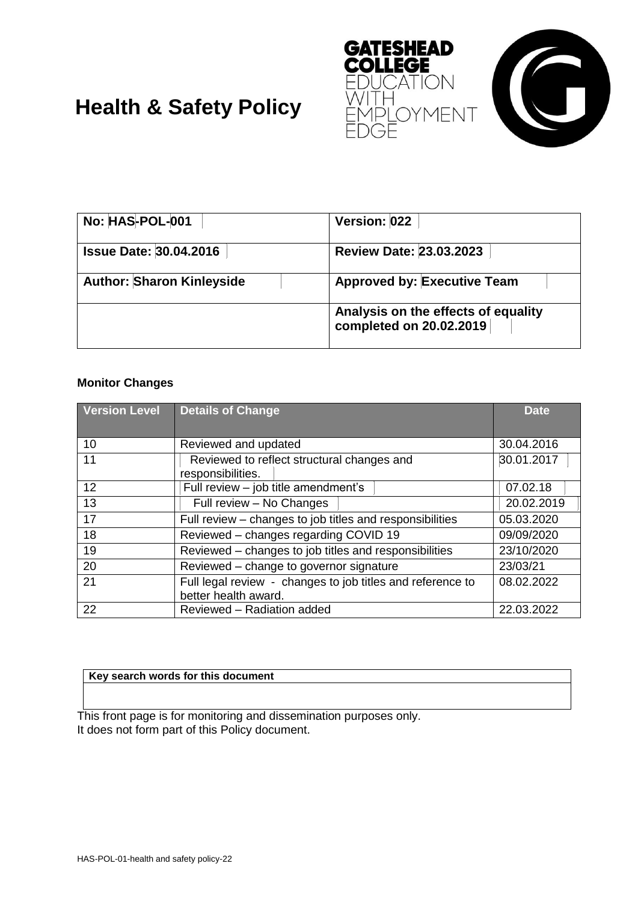



# **Health & Safety Policy**

| No: HAS-POL-001                  | Version: 022                                                   |
|----------------------------------|----------------------------------------------------------------|
| <b>Issue Date: 30.04.2016</b>    | <b>Review Date: 23.03.2023</b>                                 |
| <b>Author: Sharon Kinleyside</b> | <b>Approved by: Executive Team</b>                             |
|                                  | Analysis on the effects of equality<br>completed on 20.02.2019 |

# **Monitor Changes**

| <b>Version Level</b> | <b>Details of Change</b>                                                           | <b>Date</b> |
|----------------------|------------------------------------------------------------------------------------|-------------|
| 10                   | Reviewed and updated                                                               | 30.04.2016  |
| 11                   | Reviewed to reflect structural changes and<br>responsibilities.                    | 30.01.2017  |
| 12                   | Full review - job title amendment's                                                | 07.02.18    |
| 13                   | Full review - No Changes                                                           | 20.02.2019  |
| 17                   | Full review - changes to job titles and responsibilities                           | 05.03.2020  |
| 18                   | Reviewed - changes regarding COVID 19                                              | 09/09/2020  |
| 19                   | Reviewed - changes to job titles and responsibilities                              | 23/10/2020  |
| 20                   | Reviewed - change to governor signature                                            | 23/03/21    |
| 21                   | Full legal review - changes to job titles and reference to<br>better health award. | 08.02.2022  |
| 22                   | Reviewed - Radiation added                                                         | 22.03.2022  |

#### **Key search words for this document**

This front page is for monitoring and dissemination purposes only. It does not form part of this Policy document.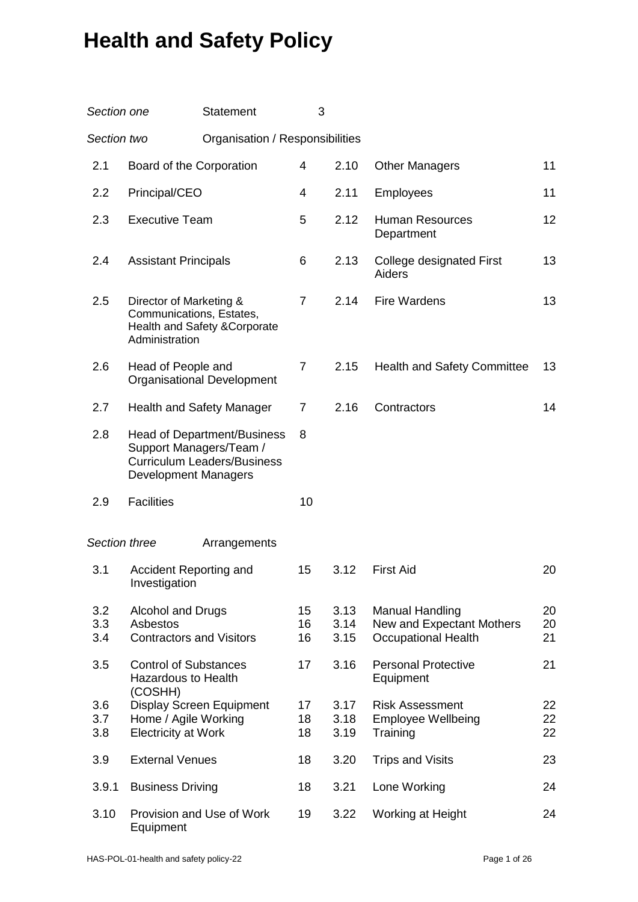# Approved by The Board of Governors on: 30 April 2015 **Health and Safety Policy**

| Section one       |                                                                       | <b>Statement</b>                                                         | 3              |                      |                                                                                   |                |
|-------------------|-----------------------------------------------------------------------|--------------------------------------------------------------------------|----------------|----------------------|-----------------------------------------------------------------------------------|----------------|
| Section two       |                                                                       | Organisation / Responsibilities                                          |                |                      |                                                                                   |                |
| 2.1               | Board of the Corporation                                              |                                                                          | 4              | 2.10                 | <b>Other Managers</b>                                                             | 11             |
| 2.2               | Principal/CEO                                                         |                                                                          | 4              | 2.11                 | <b>Employees</b>                                                                  | 11             |
| 2.3               | <b>Executive Team</b>                                                 |                                                                          | 5              | 2.12                 | <b>Human Resources</b><br>Department                                              | 12             |
| 2.4               | <b>Assistant Principals</b>                                           |                                                                          | 6              | 2.13                 | College designated First<br>Aiders                                                | 13             |
| 2.5               | Director of Marketing &<br>Communications, Estates,<br>Administration | Health and Safety & Corporate                                            | $\overline{7}$ | 2.14                 | <b>Fire Wardens</b>                                                               | 13             |
| 2.6               | Head of People and                                                    | <b>Organisational Development</b>                                        | 7              | 2.15                 | <b>Health and Safety Committee</b>                                                | 13             |
| 2.7               | <b>Health and Safety Manager</b>                                      |                                                                          | $\overline{7}$ | 2.16                 | Contractors                                                                       | 14             |
| 2.8               | Support Managers/Team /<br><b>Development Managers</b>                | <b>Head of Department/Business</b><br><b>Curriculum Leaders/Business</b> | 8              |                      |                                                                                   |                |
| 2.9               | <b>Facilities</b>                                                     |                                                                          | 10             |                      |                                                                                   |                |
| Section three     |                                                                       | Arrangements                                                             |                |                      |                                                                                   |                |
| 3.1               | Accident Reporting and<br>Investigation                               |                                                                          | 15             | 3.12                 | <b>First Aid</b>                                                                  | 20             |
| 3.2<br>3.3<br>3.4 | Alcohol and Drugs<br>Asbestos<br><b>Contractors and Visitors</b>      |                                                                          | 15<br>16<br>16 | 3.13<br>3.14<br>3.15 | <b>Manual Handling</b><br>New and Expectant Mothers<br><b>Occupational Health</b> | 20<br>20<br>21 |
| 3.5               | <b>Control of Substances</b><br><b>Hazardous to Health</b><br>(COSHH) |                                                                          | 17             | 3.16                 | <b>Personal Protective</b><br>Equipment                                           | 21             |
| 3.6<br>3.7<br>3.8 | Home / Agile Working<br><b>Electricity at Work</b>                    | Display Screen Equipment                                                 | 17<br>18<br>18 | 3.17<br>3.18<br>3.19 | <b>Risk Assessment</b><br><b>Employee Wellbeing</b><br>Training                   | 22<br>22<br>22 |
| 3.9               | <b>External Venues</b>                                                |                                                                          | 18             | 3.20                 | <b>Trips and Visits</b>                                                           | 23             |
| 3.9.1             | <b>Business Driving</b>                                               |                                                                          | 18             | 3.21                 | Lone Working                                                                      | 24             |
| 3.10              | Equipment                                                             | Provision and Use of Work                                                | 19             | 3.22                 | Working at Height                                                                 | 24             |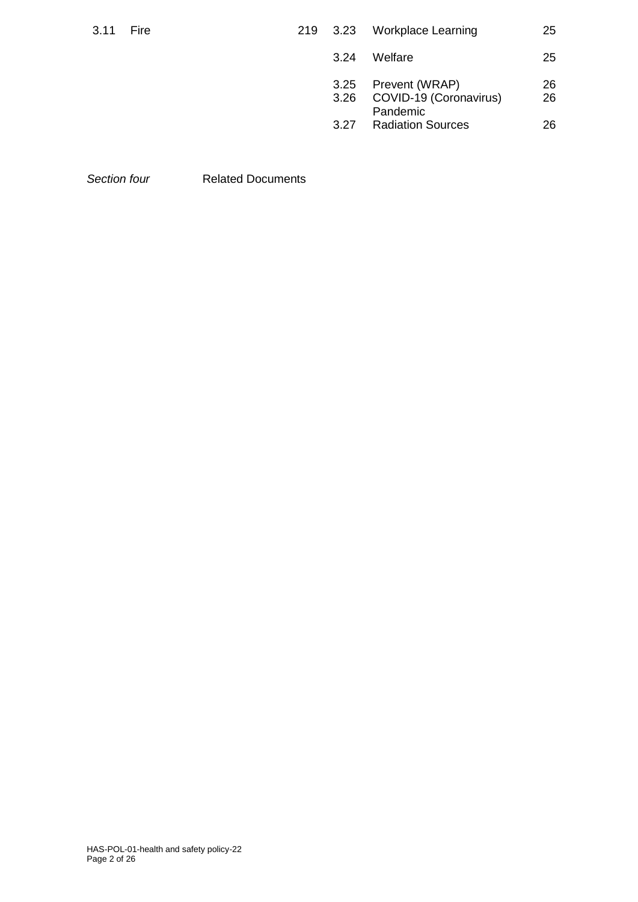| 3.11 | Fire | 219 3.23     | <b>Workplace Learning</b>                            | 25       |
|------|------|--------------|------------------------------------------------------|----------|
|      |      | 3.24         | Welfare                                              | 25       |
|      |      | 3.25<br>3.26 | Prevent (WRAP)<br>COVID-19 (Coronavirus)<br>Pandemic | 26<br>26 |
|      |      | 3.27         | <b>Radiation Sources</b>                             | 26       |

*Section four* Related Documents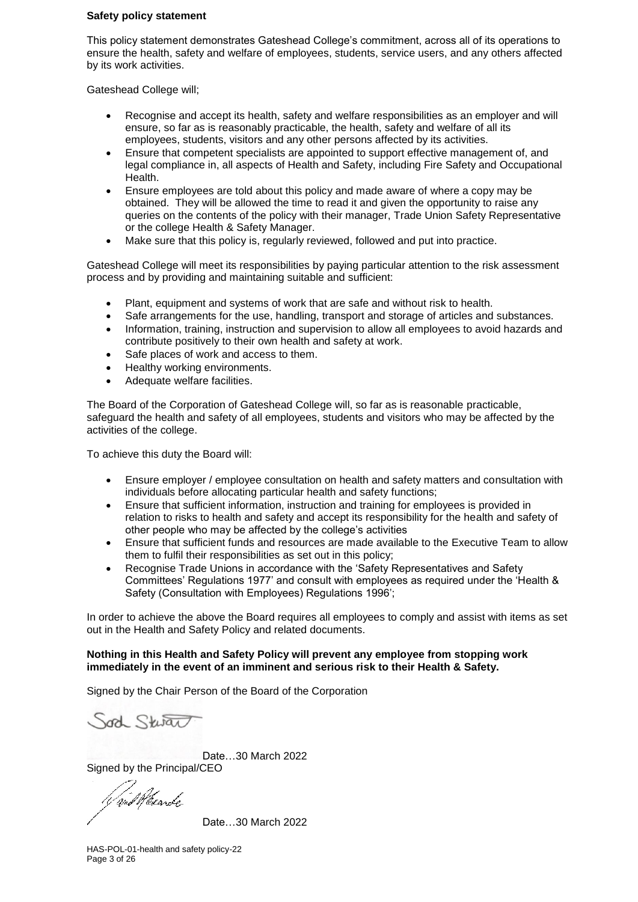#### **Safety policy statement**

This policy statement demonstrates Gateshead College's commitment, across all of its operations to ensure the health, safety and welfare of employees, students, service users, and any others affected by its work activities.

Gateshead College will;

- Recognise and accept its health, safety and welfare responsibilities as an employer and will ensure, so far as is reasonably practicable, the health, safety and welfare of all its employees, students, visitors and any other persons affected by its activities.
- Ensure that competent specialists are appointed to support effective management of, and legal compliance in, all aspects of Health and Safety, including Fire Safety and Occupational Health.
- Ensure employees are told about this policy and made aware of where a copy may be obtained. They will be allowed the time to read it and given the opportunity to raise any queries on the contents of the policy with their manager, Trade Union Safety Representative or the college Health & Safety Manager.
- Make sure that this policy is, regularly reviewed, followed and put into practice.

Gateshead College will meet its responsibilities by paying particular attention to the risk assessment process and by providing and maintaining suitable and sufficient:

- Plant, equipment and systems of work that are safe and without risk to health.
- Safe arrangements for the use, handling, transport and storage of articles and substances.
- Information, training, instruction and supervision to allow all employees to avoid hazards and contribute positively to their own health and safety at work.
- Safe places of work and access to them.
- Healthy working environments.
- Adequate welfare facilities.

The Board of the Corporation of Gateshead College will, so far as is reasonable practicable, safeguard the health and safety of all employees, students and visitors who may be affected by the activities of the college.

To achieve this duty the Board will:

- Ensure employer / employee consultation on health and safety matters and consultation with individuals before allocating particular health and safety functions;
- Ensure that sufficient information, instruction and training for employees is provided in relation to risks to health and safety and accept its responsibility for the health and safety of other people who may be affected by the college's activities
- Ensure that sufficient funds and resources are made available to the Executive Team to allow them to fulfil their responsibilities as set out in this policy;
- Recognise Trade Unions in accordance with the 'Safety Representatives and Safety Committees' Regulations 1977' and consult with employees as required under the 'Health & Safety (Consultation with Employees) Regulations 1996';

In order to achieve the above the Board requires all employees to comply and assist with items as set out in the Health and Safety Policy and related documents.

#### **Nothing in this Health and Safety Policy will prevent any employee from stopping work immediately in the event of an imminent and serious risk to their Health & Safety.**

Signed by the Chair Person of the Board of the Corporation

Joch Stwar

Date…30 March 2022 Signed by the Principal/CEO

V and Wexarde

Date…30 March 2022

HAS-POL-01-health and safety policy-22 Page 3 of 26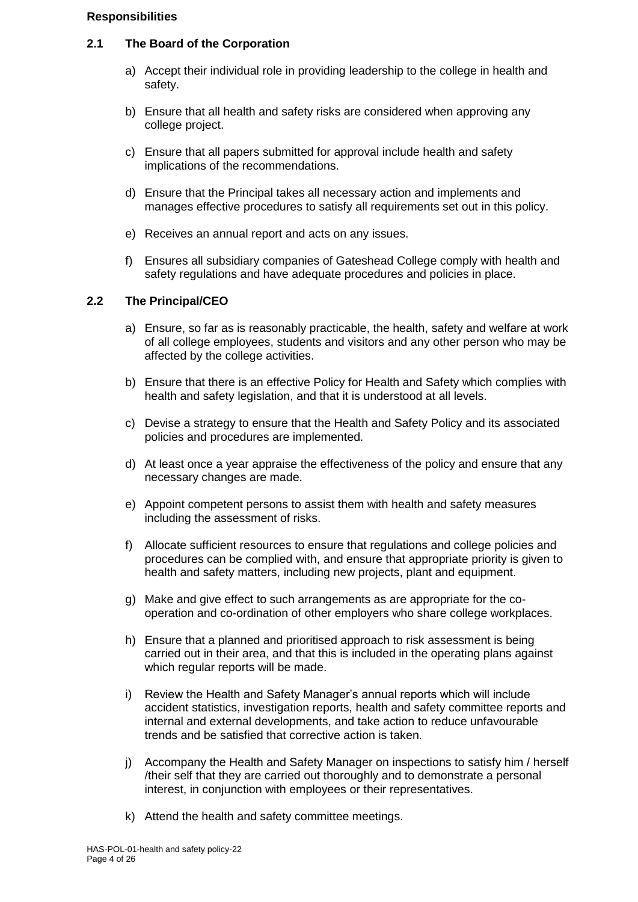#### **Responsibilities**

#### **2.1 The Board of the Corporation**

- a) Accept their individual role in providing leadership to the college in health and safety.
- b) Ensure that all health and safety risks are considered when approving any college project.
- c) Ensure that all papers submitted for approval include health and safety implications of the recommendations.
- d) Ensure that the Principal takes all necessary action and implements and manages effective procedures to satisfy all requirements set out in this policy.
- e) Receives an annual report and acts on any issues.
- f) Ensures all subsidiary companies of Gateshead College comply with health and safety regulations and have adequate procedures and policies in place.

# **2.2 The Principal/CEO**

- a) Ensure, so far as is reasonably practicable, the health, safety and welfare at work of all college employees, students and visitors and any other person who may be affected by the college activities.
- b) Ensure that there is an effective Policy for Health and Safety which complies with health and safety legislation, and that it is understood at all levels.
- c) Devise a strategy to ensure that the Health and Safety Policy and its associated policies and procedures are implemented.
- d) At least once a year appraise the effectiveness of the policy and ensure that any necessary changes are made.
- e) Appoint competent persons to assist them with health and safety measures including the assessment of risks.
- f) Allocate sufficient resources to ensure that regulations and college policies and procedures can be complied with, and ensure that appropriate priority is given to health and safety matters, including new projects, plant and equipment.
- g) Make and give effect to such arrangements as are appropriate for the cooperation and co-ordination of other employers who share college workplaces.
- h) Ensure that a planned and prioritised approach to risk assessment is being carried out in their area, and that this is included in the operating plans against which regular reports will be made.
- i) Review the Health and Safety Manager's annual reports which will include accident statistics, investigation reports, health and safety committee reports and internal and external developments, and take action to reduce unfavourable trends and be satisfied that corrective action is taken.
- j) Accompany the Health and Safety Manager on inspections to satisfy him / herself /their self that they are carried out thoroughly and to demonstrate a personal interest, in conjunction with employees or their representatives.
- k) Attend the health and safety committee meetings.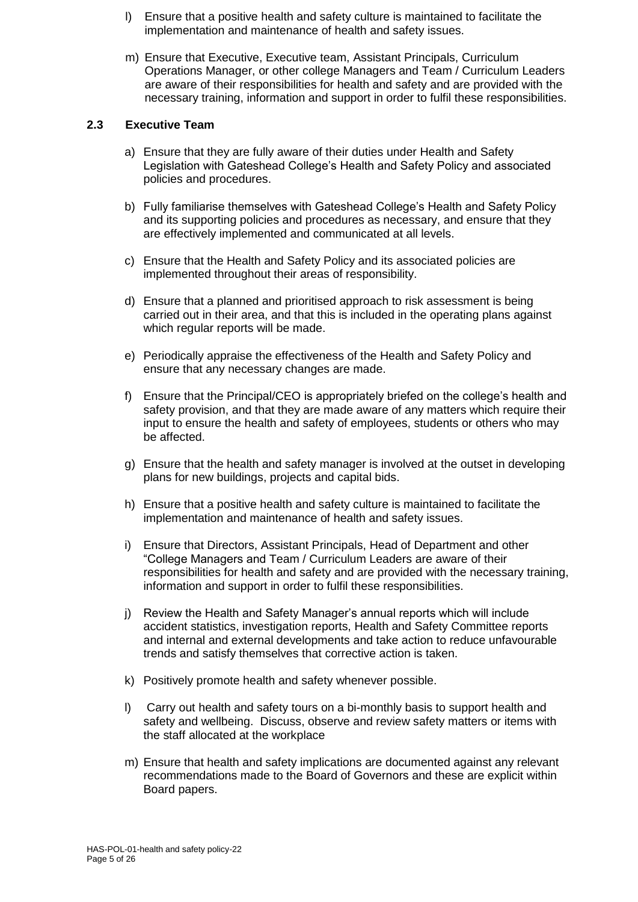- l) Ensure that a positive health and safety culture is maintained to facilitate the implementation and maintenance of health and safety issues.
- m) Ensure that Executive, Executive team, Assistant Principals, Curriculum Operations Manager, or other college Managers and Team / Curriculum Leaders are aware of their responsibilities for health and safety and are provided with the necessary training, information and support in order to fulfil these responsibilities.

# **2.3 Executive Team**

- a) Ensure that they are fully aware of their duties under Health and Safety Legislation with Gateshead College's Health and Safety Policy and associated policies and procedures.
- b) Fully familiarise themselves with Gateshead College's Health and Safety Policy and its supporting policies and procedures as necessary, and ensure that they are effectively implemented and communicated at all levels.
- c) Ensure that the Health and Safety Policy and its associated policies are implemented throughout their areas of responsibility.
- d) Ensure that a planned and prioritised approach to risk assessment is being carried out in their area, and that this is included in the operating plans against which regular reports will be made.
- e) Periodically appraise the effectiveness of the Health and Safety Policy and ensure that any necessary changes are made.
- f) Ensure that the Principal/CEO is appropriately briefed on the college's health and safety provision, and that they are made aware of any matters which require their input to ensure the health and safety of employees, students or others who may be affected.
- g) Ensure that the health and safety manager is involved at the outset in developing plans for new buildings, projects and capital bids.
- h) Ensure that a positive health and safety culture is maintained to facilitate the implementation and maintenance of health and safety issues.
- i) Ensure that Directors, Assistant Principals, Head of Department and other "College Managers and Team / Curriculum Leaders are aware of their responsibilities for health and safety and are provided with the necessary training, information and support in order to fulfil these responsibilities.
- j) Review the Health and Safety Manager's annual reports which will include accident statistics, investigation reports, Health and Safety Committee reports and internal and external developments and take action to reduce unfavourable trends and satisfy themselves that corrective action is taken.
- k) Positively promote health and safety whenever possible.
- l) Carry out health and safety tours on a bi-monthly basis to support health and safety and wellbeing. Discuss, observe and review safety matters or items with the staff allocated at the workplace
- m) Ensure that health and safety implications are documented against any relevant recommendations made to the Board of Governors and these are explicit within Board papers.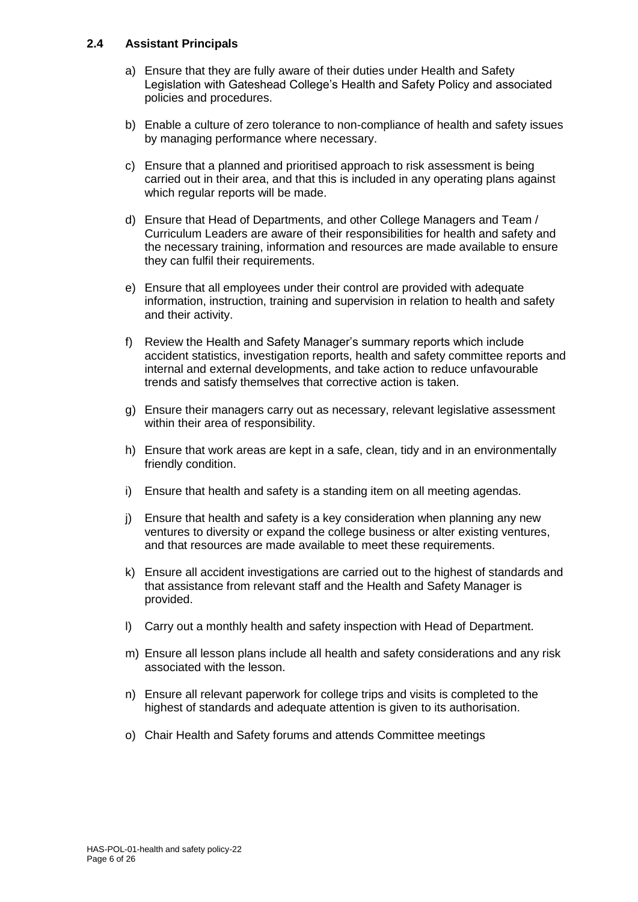# **2.4 Assistant Principals**

- a) Ensure that they are fully aware of their duties under Health and Safety Legislation with Gateshead College's Health and Safety Policy and associated policies and procedures.
- b) Enable a culture of zero tolerance to non-compliance of health and safety issues by managing performance where necessary.
- c) Ensure that a planned and prioritised approach to risk assessment is being carried out in their area, and that this is included in any operating plans against which regular reports will be made.
- d) Ensure that Head of Departments, and other College Managers and Team / Curriculum Leaders are aware of their responsibilities for health and safety and the necessary training, information and resources are made available to ensure they can fulfil their requirements.
- e) Ensure that all employees under their control are provided with adequate information, instruction, training and supervision in relation to health and safety and their activity.
- f) Review the Health and Safety Manager's summary reports which include accident statistics, investigation reports, health and safety committee reports and internal and external developments, and take action to reduce unfavourable trends and satisfy themselves that corrective action is taken.
- g) Ensure their managers carry out as necessary, relevant legislative assessment within their area of responsibility.
- h) Ensure that work areas are kept in a safe, clean, tidy and in an environmentally friendly condition.
- i) Ensure that health and safety is a standing item on all meeting agendas.
- j) Ensure that health and safety is a key consideration when planning any new ventures to diversity or expand the college business or alter existing ventures, and that resources are made available to meet these requirements.
- k) Ensure all accident investigations are carried out to the highest of standards and that assistance from relevant staff and the Health and Safety Manager is provided.
- l) Carry out a monthly health and safety inspection with Head of Department.
- m) Ensure all lesson plans include all health and safety considerations and any risk associated with the lesson.
- n) Ensure all relevant paperwork for college trips and visits is completed to the highest of standards and adequate attention is given to its authorisation.
- o) Chair Health and Safety forums and attends Committee meetings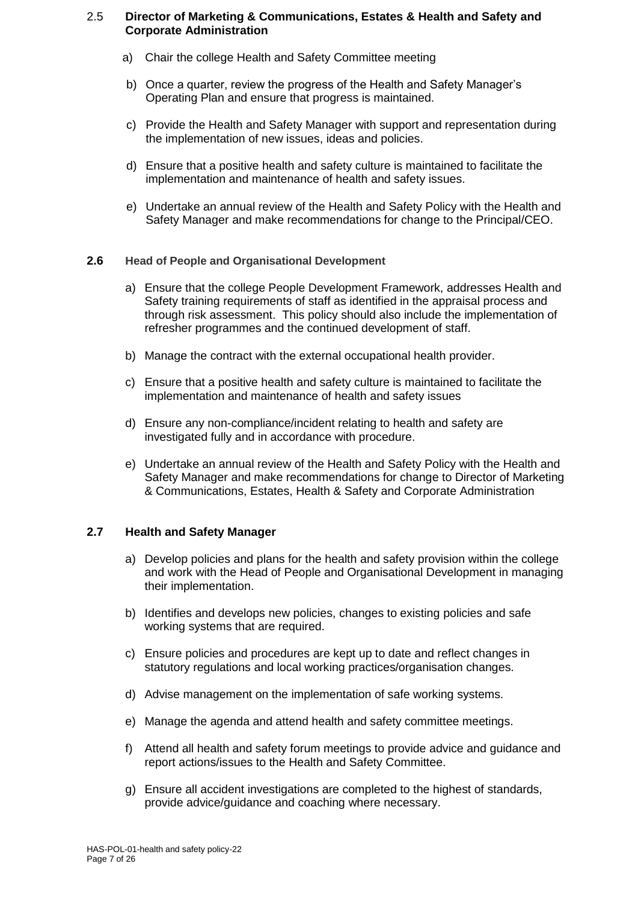#### 2.5 **Director of Marketing & Communications, Estates & Health and Safety and Corporate Administration**

- a) Chair the college Health and Safety Committee meeting
- b) Once a quarter, review the progress of the Health and Safety Manager's Operating Plan and ensure that progress is maintained.
- c) Provide the Health and Safety Manager with support and representation during the implementation of new issues, ideas and policies.
- d) Ensure that a positive health and safety culture is maintained to facilitate the implementation and maintenance of health and safety issues.
- e) Undertake an annual review of the Health and Safety Policy with the Health and Safety Manager and make recommendations for change to the Principal/CEO.

#### **2.6 Head of People and Organisational Development**

- a) Ensure that the college People Development Framework, addresses Health and Safety training requirements of staff as identified in the appraisal process and through risk assessment. This policy should also include the implementation of refresher programmes and the continued development of staff.
- b) Manage the contract with the external occupational health provider.
- c) Ensure that a positive health and safety culture is maintained to facilitate the implementation and maintenance of health and safety issues
- d) Ensure any non-compliance/incident relating to health and safety are investigated fully and in accordance with procedure.
- e) Undertake an annual review of the Health and Safety Policy with the Health and Safety Manager and make recommendations for change to Director of Marketing & Communications, Estates, Health & Safety and Corporate Administration

#### **2.7 Health and Safety Manager**

- a) Develop policies and plans for the health and safety provision within the college and work with the Head of People and Organisational Development in managing their implementation.
- b) Identifies and develops new policies, changes to existing policies and safe working systems that are required.
- c) Ensure policies and procedures are kept up to date and reflect changes in statutory regulations and local working practices/organisation changes.
- d) Advise management on the implementation of safe working systems.
- e) Manage the agenda and attend health and safety committee meetings.
- f) Attend all health and safety forum meetings to provide advice and guidance and report actions/issues to the Health and Safety Committee.
- g) Ensure all accident investigations are completed to the highest of standards, provide advice/guidance and coaching where necessary.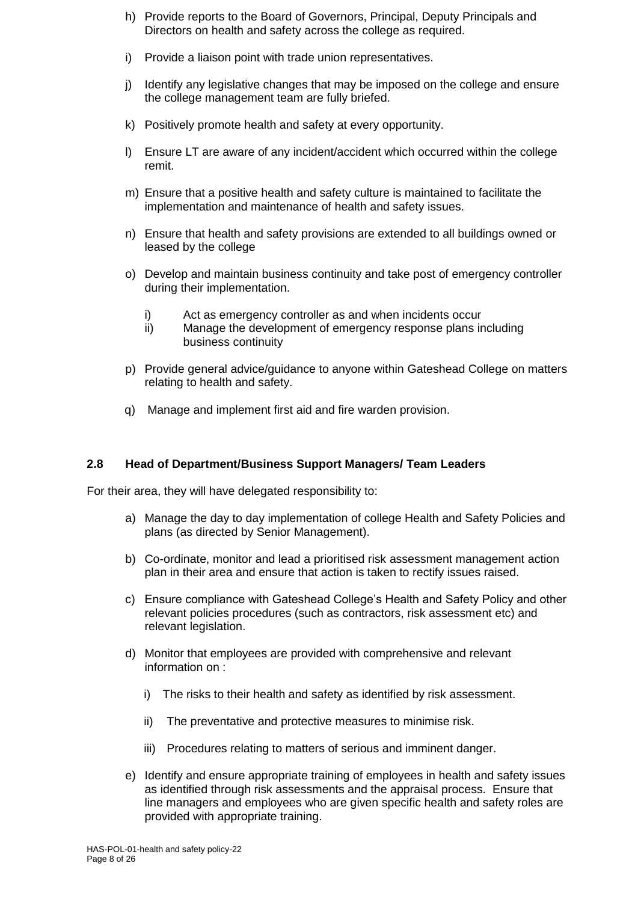- h) Provide reports to the Board of Governors, Principal, Deputy Principals and Directors on health and safety across the college as required.
- i) Provide a liaison point with trade union representatives.
- j) Identify any legislative changes that may be imposed on the college and ensure the college management team are fully briefed.
- k) Positively promote health and safety at every opportunity.
- l) Ensure LT are aware of any incident/accident which occurred within the college remit.
- m) Ensure that a positive health and safety culture is maintained to facilitate the implementation and maintenance of health and safety issues.
- n) Ensure that health and safety provisions are extended to all buildings owned or leased by the college
- o) Develop and maintain business continuity and take post of emergency controller during their implementation.
	- i) Act as emergency controller as and when incidents occur
	- ii) Manage the development of emergency response plans including business continuity
- p) Provide general advice/guidance to anyone within Gateshead College on matters relating to health and safety.
- q) Manage and implement first aid and fire warden provision.

# **2.8 Head of Department/Business Support Managers/ Team Leaders**

For their area, they will have delegated responsibility to:

- a) Manage the day to day implementation of college Health and Safety Policies and plans (as directed by Senior Management).
- b) Co-ordinate, monitor and lead a prioritised risk assessment management action plan in their area and ensure that action is taken to rectify issues raised.
- c) Ensure compliance with Gateshead College's Health and Safety Policy and other relevant policies procedures (such as contractors, risk assessment etc) and relevant legislation.
- d) Monitor that employees are provided with comprehensive and relevant information on :
	- i) The risks to their health and safety as identified by risk assessment.
	- ii) The preventative and protective measures to minimise risk.
	- iii) Procedures relating to matters of serious and imminent danger.
- e) Identify and ensure appropriate training of employees in health and safety issues as identified through risk assessments and the appraisal process. Ensure that line managers and employees who are given specific health and safety roles are provided with appropriate training.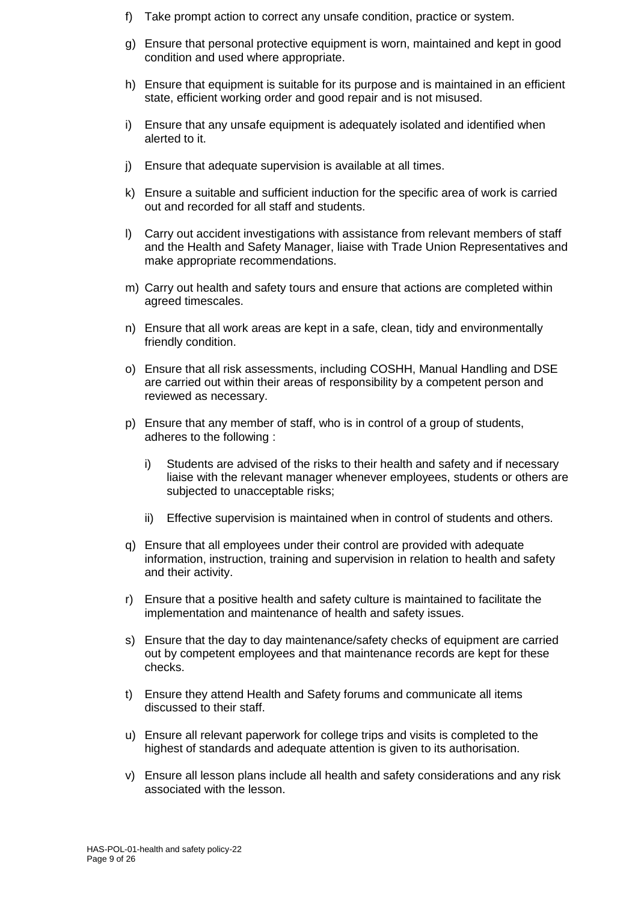- f) Take prompt action to correct any unsafe condition, practice or system.
- g) Ensure that personal protective equipment is worn, maintained and kept in good condition and used where appropriate.
- h) Ensure that equipment is suitable for its purpose and is maintained in an efficient state, efficient working order and good repair and is not misused.
- i) Ensure that any unsafe equipment is adequately isolated and identified when alerted to it.
- j) Ensure that adequate supervision is available at all times.
- k) Ensure a suitable and sufficient induction for the specific area of work is carried out and recorded for all staff and students.
- l) Carry out accident investigations with assistance from relevant members of staff and the Health and Safety Manager, liaise with Trade Union Representatives and make appropriate recommendations.
- m) Carry out health and safety tours and ensure that actions are completed within agreed timescales.
- n) Ensure that all work areas are kept in a safe, clean, tidy and environmentally friendly condition.
- o) Ensure that all risk assessments, including COSHH, Manual Handling and DSE are carried out within their areas of responsibility by a competent person and reviewed as necessary.
- p) Ensure that any member of staff, who is in control of a group of students, adheres to the following :
	- i) Students are advised of the risks to their health and safety and if necessary liaise with the relevant manager whenever employees, students or others are subjected to unacceptable risks;
	- ii) Effective supervision is maintained when in control of students and others.
- q) Ensure that all employees under their control are provided with adequate information, instruction, training and supervision in relation to health and safety and their activity.
- r) Ensure that a positive health and safety culture is maintained to facilitate the implementation and maintenance of health and safety issues.
- s) Ensure that the day to day maintenance/safety checks of equipment are carried out by competent employees and that maintenance records are kept for these checks.
- t) Ensure they attend Health and Safety forums and communicate all items discussed to their staff.
- u) Ensure all relevant paperwork for college trips and visits is completed to the highest of standards and adequate attention is given to its authorisation.
- v) Ensure all lesson plans include all health and safety considerations and any risk associated with the lesson.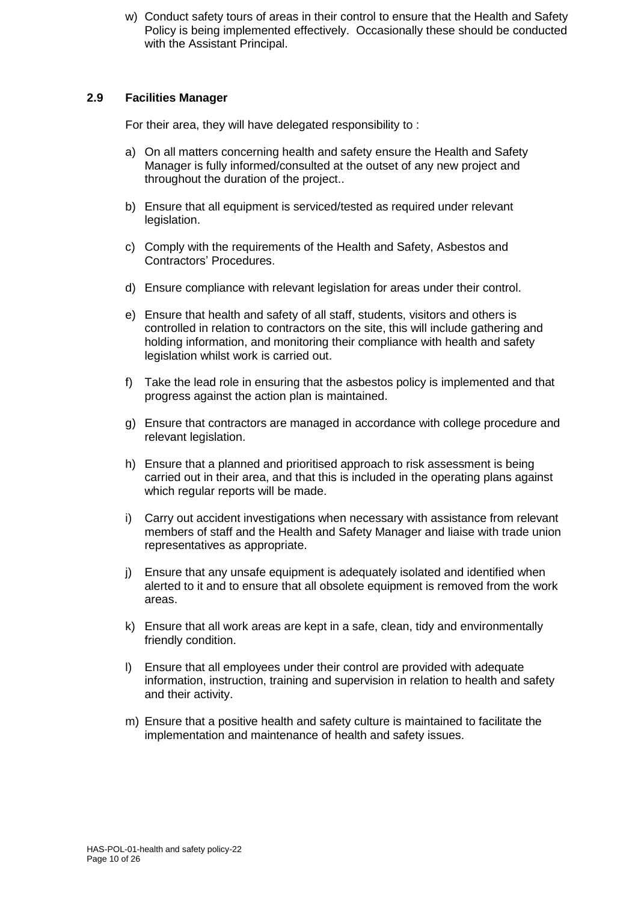w) Conduct safety tours of areas in their control to ensure that the Health and Safety Policy is being implemented effectively. Occasionally these should be conducted with the Assistant Principal.

# **2.9 Facilities Manager**

For their area, they will have delegated responsibility to :

- a) On all matters concerning health and safety ensure the Health and Safety Manager is fully informed/consulted at the outset of any new project and throughout the duration of the project..
- b) Ensure that all equipment is serviced/tested as required under relevant legislation.
- c) Comply with the requirements of the Health and Safety, Asbestos and Contractors' Procedures.
- d) Ensure compliance with relevant legislation for areas under their control.
- e) Ensure that health and safety of all staff, students, visitors and others is controlled in relation to contractors on the site, this will include gathering and holding information, and monitoring their compliance with health and safety legislation whilst work is carried out.
- f) Take the lead role in ensuring that the asbestos policy is implemented and that progress against the action plan is maintained.
- g) Ensure that contractors are managed in accordance with college procedure and relevant legislation.
- h) Ensure that a planned and prioritised approach to risk assessment is being carried out in their area, and that this is included in the operating plans against which regular reports will be made.
- i) Carry out accident investigations when necessary with assistance from relevant members of staff and the Health and Safety Manager and liaise with trade union representatives as appropriate.
- j) Ensure that any unsafe equipment is adequately isolated and identified when alerted to it and to ensure that all obsolete equipment is removed from the work areas.
- k) Ensure that all work areas are kept in a safe, clean, tidy and environmentally friendly condition.
- l) Ensure that all employees under their control are provided with adequate information, instruction, training and supervision in relation to health and safety and their activity.
- m) Ensure that a positive health and safety culture is maintained to facilitate the implementation and maintenance of health and safety issues.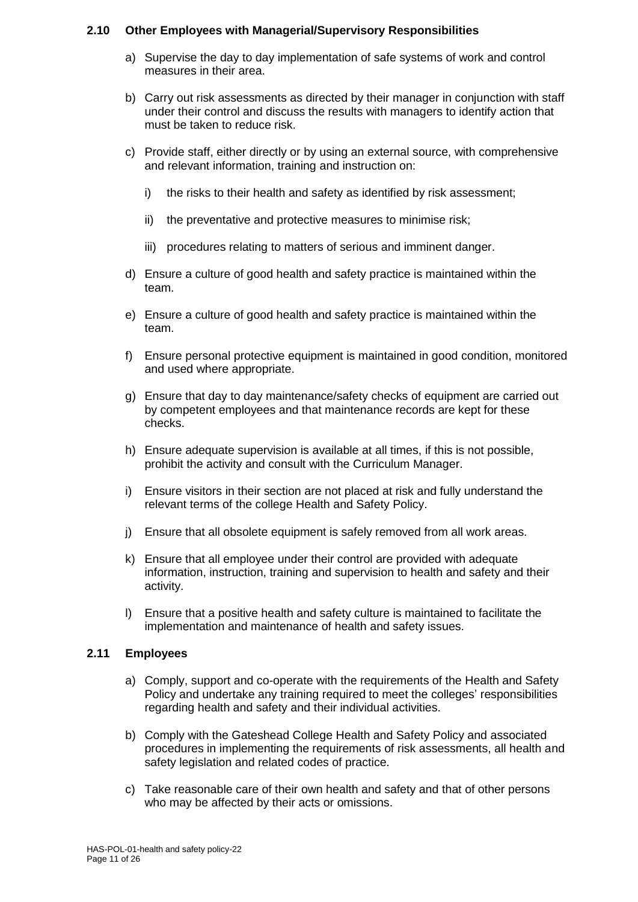# **2.10 Other Employees with Managerial/Supervisory Responsibilities**

- a) Supervise the day to day implementation of safe systems of work and control measures in their area.
- b) Carry out risk assessments as directed by their manager in conjunction with staff under their control and discuss the results with managers to identify action that must be taken to reduce risk.
- c) Provide staff, either directly or by using an external source, with comprehensive and relevant information, training and instruction on:
	- i) the risks to their health and safety as identified by risk assessment;
	- ii) the preventative and protective measures to minimise risk;
	- iii) procedures relating to matters of serious and imminent danger.
- d) Ensure a culture of good health and safety practice is maintained within the team.
- e) Ensure a culture of good health and safety practice is maintained within the team.
- f) Ensure personal protective equipment is maintained in good condition, monitored and used where appropriate.
- g) Ensure that day to day maintenance/safety checks of equipment are carried out by competent employees and that maintenance records are kept for these checks.
- h) Ensure adequate supervision is available at all times, if this is not possible, prohibit the activity and consult with the Curriculum Manager.
- i) Ensure visitors in their section are not placed at risk and fully understand the relevant terms of the college Health and Safety Policy.
- j) Ensure that all obsolete equipment is safely removed from all work areas.
- k) Ensure that all employee under their control are provided with adequate information, instruction, training and supervision to health and safety and their activity.
- l) Ensure that a positive health and safety culture is maintained to facilitate the implementation and maintenance of health and safety issues.

# **2.11 Employees**

- a) Comply, support and co-operate with the requirements of the Health and Safety Policy and undertake any training required to meet the colleges' responsibilities regarding health and safety and their individual activities.
- b) Comply with the Gateshead College Health and Safety Policy and associated procedures in implementing the requirements of risk assessments, all health and safety legislation and related codes of practice.
- c) Take reasonable care of their own health and safety and that of other persons who may be affected by their acts or omissions.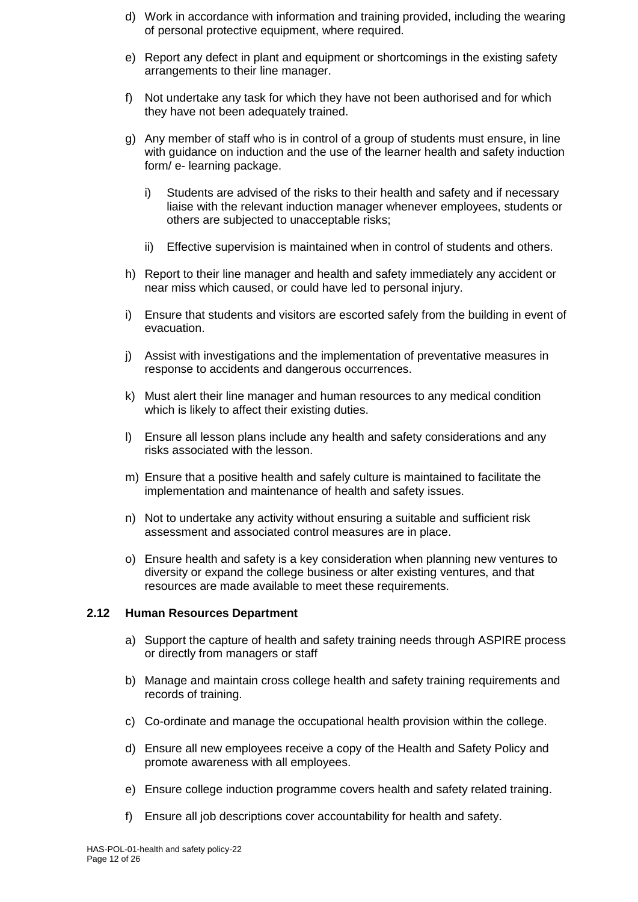- d) Work in accordance with information and training provided, including the wearing of personal protective equipment, where required.
- e) Report any defect in plant and equipment or shortcomings in the existing safety arrangements to their line manager.
- f) Not undertake any task for which they have not been authorised and for which they have not been adequately trained.
- g) Any member of staff who is in control of a group of students must ensure, in line with guidance on induction and the use of the learner health and safety induction form/ e- learning package.
	- i) Students are advised of the risks to their health and safety and if necessary liaise with the relevant induction manager whenever employees, students or others are subjected to unacceptable risks;
	- ii) Effective supervision is maintained when in control of students and others.
- h) Report to their line manager and health and safety immediately any accident or near miss which caused, or could have led to personal injury.
- i) Ensure that students and visitors are escorted safely from the building in event of evacuation.
- j) Assist with investigations and the implementation of preventative measures in response to accidents and dangerous occurrences.
- k) Must alert their line manager and human resources to any medical condition which is likely to affect their existing duties.
- l) Ensure all lesson plans include any health and safety considerations and any risks associated with the lesson.
- m) Ensure that a positive health and safely culture is maintained to facilitate the implementation and maintenance of health and safety issues.
- n) Not to undertake any activity without ensuring a suitable and sufficient risk assessment and associated control measures are in place.
- o) Ensure health and safety is a key consideration when planning new ventures to diversity or expand the college business or alter existing ventures, and that resources are made available to meet these requirements.

#### **2.12 Human Resources Department**

- a) Support the capture of health and safety training needs through ASPIRE process or directly from managers or staff
- b) Manage and maintain cross college health and safety training requirements and records of training.
- c) Co-ordinate and manage the occupational health provision within the college.
- d) Ensure all new employees receive a copy of the Health and Safety Policy and promote awareness with all employees.
- e) Ensure college induction programme covers health and safety related training.
- f) Ensure all job descriptions cover accountability for health and safety.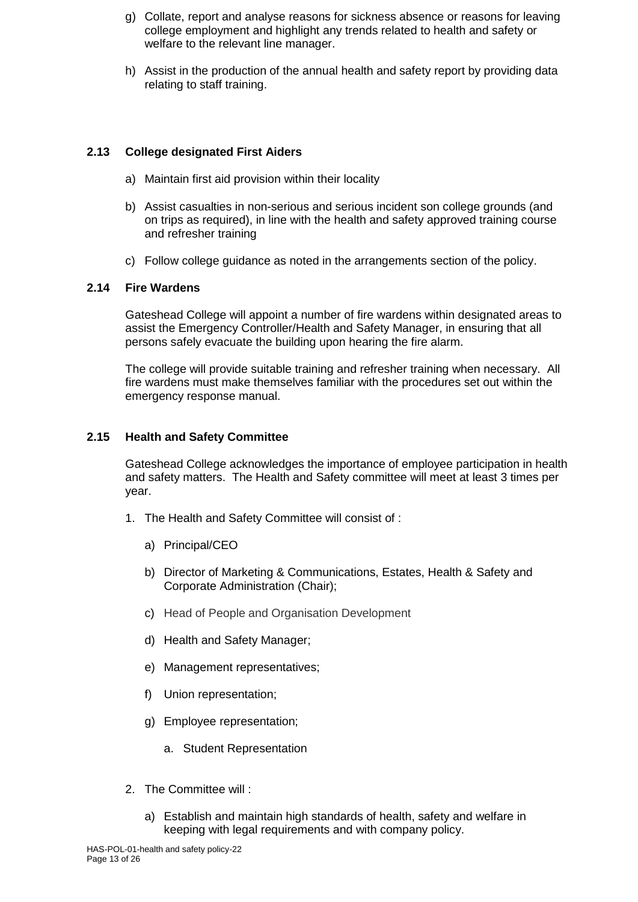- g) Collate, report and analyse reasons for sickness absence or reasons for leaving college employment and highlight any trends related to health and safety or welfare to the relevant line manager.
- h) Assist in the production of the annual health and safety report by providing data relating to staff training.

# **2.13 College designated First Aiders**

- a) Maintain first aid provision within their locality
- b) Assist casualties in non-serious and serious incident son college grounds (and on trips as required), in line with the health and safety approved training course and refresher training
- c) Follow college guidance as noted in the arrangements section of the policy.

# **2.14 Fire Wardens**

Gateshead College will appoint a number of fire wardens within designated areas to assist the Emergency Controller/Health and Safety Manager, in ensuring that all persons safely evacuate the building upon hearing the fire alarm.

The college will provide suitable training and refresher training when necessary. All fire wardens must make themselves familiar with the procedures set out within the emergency response manual.

#### **2.15 Health and Safety Committee**

Gateshead College acknowledges the importance of employee participation in health and safety matters. The Health and Safety committee will meet at least 3 times per year.

- 1. The Health and Safety Committee will consist of :
	- a) Principal/CEO
	- b) Director of Marketing & Communications, Estates, Health & Safety and Corporate Administration (Chair);
	- c) Head of People and Organisation Development
	- d) Health and Safety Manager;
	- e) Management representatives;
	- f) Union representation;
	- g) Employee representation;
		- a. Student Representation
- 2. The Committee will :
	- a) Establish and maintain high standards of health, safety and welfare in keeping with legal requirements and with company policy.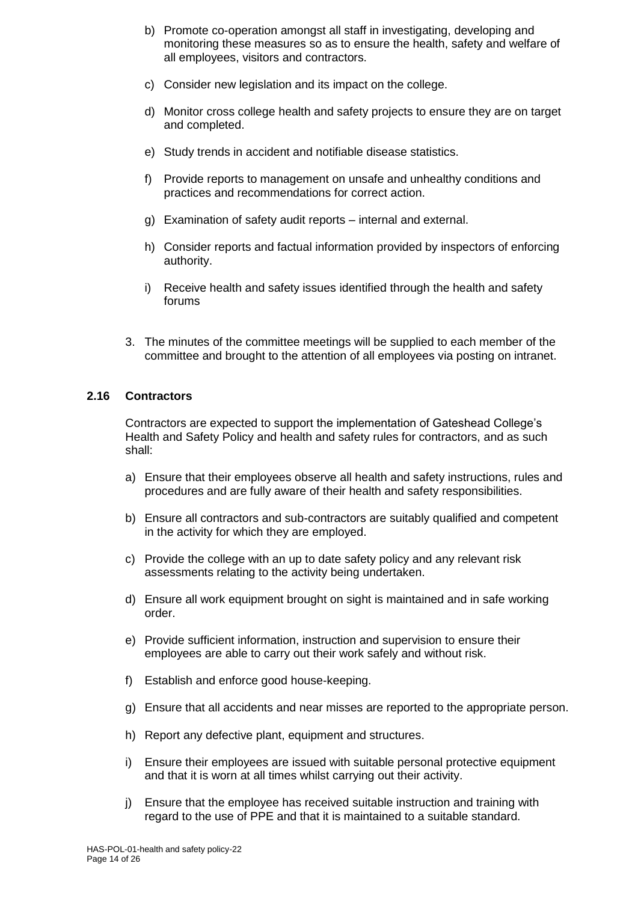- b) Promote co-operation amongst all staff in investigating, developing and monitoring these measures so as to ensure the health, safety and welfare of all employees, visitors and contractors.
- c) Consider new legislation and its impact on the college.
- d) Monitor cross college health and safety projects to ensure they are on target and completed.
- e) Study trends in accident and notifiable disease statistics.
- f) Provide reports to management on unsafe and unhealthy conditions and practices and recommendations for correct action.
- g) Examination of safety audit reports internal and external.
- h) Consider reports and factual information provided by inspectors of enforcing authority.
- i) Receive health and safety issues identified through the health and safety forums
- 3. The minutes of the committee meetings will be supplied to each member of the committee and brought to the attention of all employees via posting on intranet.

# **2.16 Contractors**

Contractors are expected to support the implementation of Gateshead College's Health and Safety Policy and health and safety rules for contractors, and as such shall:

- a) Ensure that their employees observe all health and safety instructions, rules and procedures and are fully aware of their health and safety responsibilities.
- b) Ensure all contractors and sub-contractors are suitably qualified and competent in the activity for which they are employed.
- c) Provide the college with an up to date safety policy and any relevant risk assessments relating to the activity being undertaken.
- d) Ensure all work equipment brought on sight is maintained and in safe working order.
- e) Provide sufficient information, instruction and supervision to ensure their employees are able to carry out their work safely and without risk.
- f) Establish and enforce good house-keeping.
- g) Ensure that all accidents and near misses are reported to the appropriate person.
- h) Report any defective plant, equipment and structures.
- i) Ensure their employees are issued with suitable personal protective equipment and that it is worn at all times whilst carrying out their activity.
- j) Ensure that the employee has received suitable instruction and training with regard to the use of PPE and that it is maintained to a suitable standard.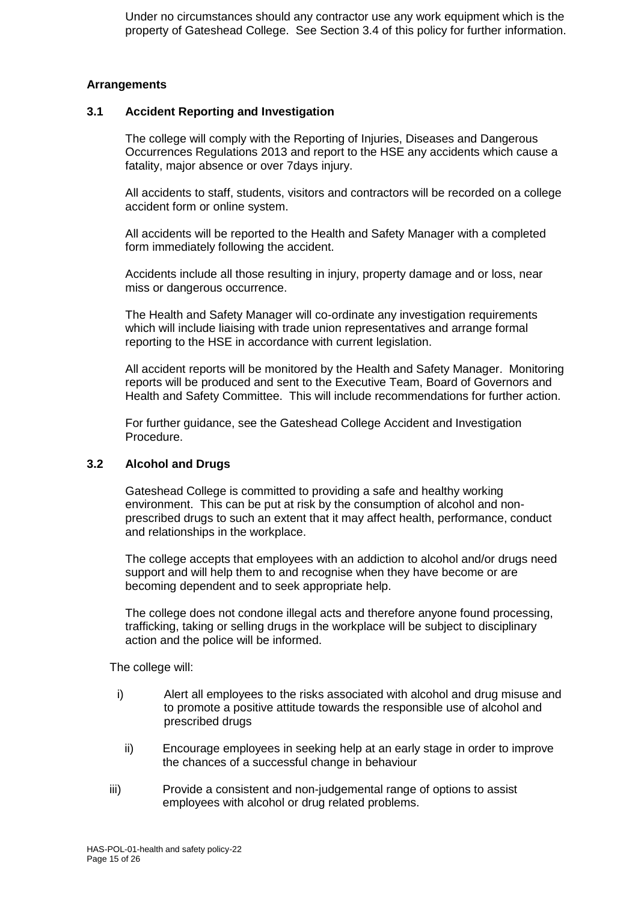Under no circumstances should any contractor use any work equipment which is the property of Gateshead College. See Section 3.4 of this policy for further information.

#### **Arrangements**

#### **3.1 Accident Reporting and Investigation**

The college will comply with the Reporting of Injuries, Diseases and Dangerous Occurrences Regulations 2013 and report to the HSE any accidents which cause a fatality, major absence or over 7days injury.

All accidents to staff, students, visitors and contractors will be recorded on a college accident form or online system.

All accidents will be reported to the Health and Safety Manager with a completed form immediately following the accident.

Accidents include all those resulting in injury, property damage and or loss, near miss or dangerous occurrence.

The Health and Safety Manager will co-ordinate any investigation requirements which will include liaising with trade union representatives and arrange formal reporting to the HSE in accordance with current legislation.

All accident reports will be monitored by the Health and Safety Manager. Monitoring reports will be produced and sent to the Executive Team, Board of Governors and Health and Safety Committee. This will include recommendations for further action.

For further guidance, see the Gateshead College Accident and Investigation Procedure.

#### **3.2 Alcohol and Drugs**

Gateshead College is committed to providing a safe and healthy working environment. This can be put at risk by the consumption of alcohol and nonprescribed drugs to such an extent that it may affect health, performance, conduct and relationships in the workplace.

The college accepts that employees with an addiction to alcohol and/or drugs need support and will help them to and recognise when they have become or are becoming dependent and to seek appropriate help.

The college does not condone illegal acts and therefore anyone found processing, trafficking, taking or selling drugs in the workplace will be subject to disciplinary action and the police will be informed.

The college will:

- i) Alert all employees to the risks associated with alcohol and drug misuse and to promote a positive attitude towards the responsible use of alcohol and prescribed drugs
- ii) Encourage employees in seeking help at an early stage in order to improve the chances of a successful change in behaviour
- iii) Provide a consistent and non-judgemental range of options to assist employees with alcohol or drug related problems.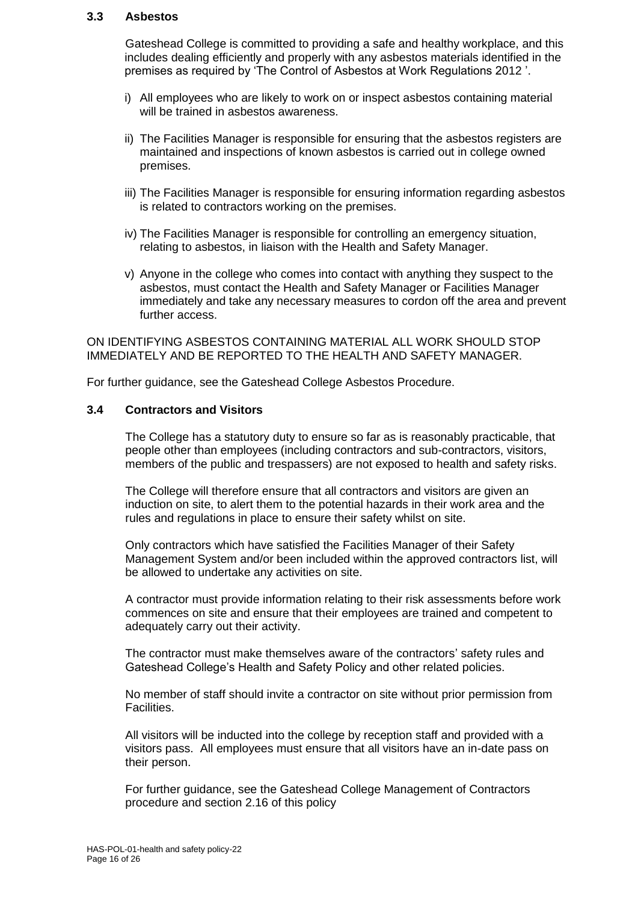#### **3.3 Asbestos**

Gateshead College is committed to providing a safe and healthy workplace, and this includes dealing efficiently and properly with any asbestos materials identified in the premises as required by 'The Control of Asbestos at Work Regulations 2012 '.

- i) All employees who are likely to work on or inspect asbestos containing material will be trained in asbestos awareness.
- ii) The Facilities Manager is responsible for ensuring that the asbestos registers are maintained and inspections of known asbestos is carried out in college owned premises.
- iii) The Facilities Manager is responsible for ensuring information regarding asbestos is related to contractors working on the premises.
- iv) The Facilities Manager is responsible for controlling an emergency situation, relating to asbestos, in liaison with the Health and Safety Manager.
- v) Anyone in the college who comes into contact with anything they suspect to the asbestos, must contact the Health and Safety Manager or Facilities Manager immediately and take any necessary measures to cordon off the area and prevent further access.

ON IDENTIFYING ASBESTOS CONTAINING MATERIAL ALL WORK SHOULD STOP IMMEDIATELY AND BE REPORTED TO THE HEALTH AND SAFETY MANAGER.

For further guidance, see the Gateshead College Asbestos Procedure.

#### **3.4 Contractors and Visitors**

The College has a statutory duty to ensure so far as is reasonably practicable, that people other than employees (including contractors and sub-contractors, visitors, members of the public and trespassers) are not exposed to health and safety risks.

The College will therefore ensure that all contractors and visitors are given an induction on site, to alert them to the potential hazards in their work area and the rules and regulations in place to ensure their safety whilst on site.

Only contractors which have satisfied the Facilities Manager of their Safety Management System and/or been included within the approved contractors list, will be allowed to undertake any activities on site.

A contractor must provide information relating to their risk assessments before work commences on site and ensure that their employees are trained and competent to adequately carry out their activity.

The contractor must make themselves aware of the contractors' safety rules and Gateshead College's Health and Safety Policy and other related policies.

No member of staff should invite a contractor on site without prior permission from Facilities.

All visitors will be inducted into the college by reception staff and provided with a visitors pass. All employees must ensure that all visitors have an in-date pass on their person.

For further guidance, see the Gateshead College Management of Contractors procedure and section 2.16 of this policy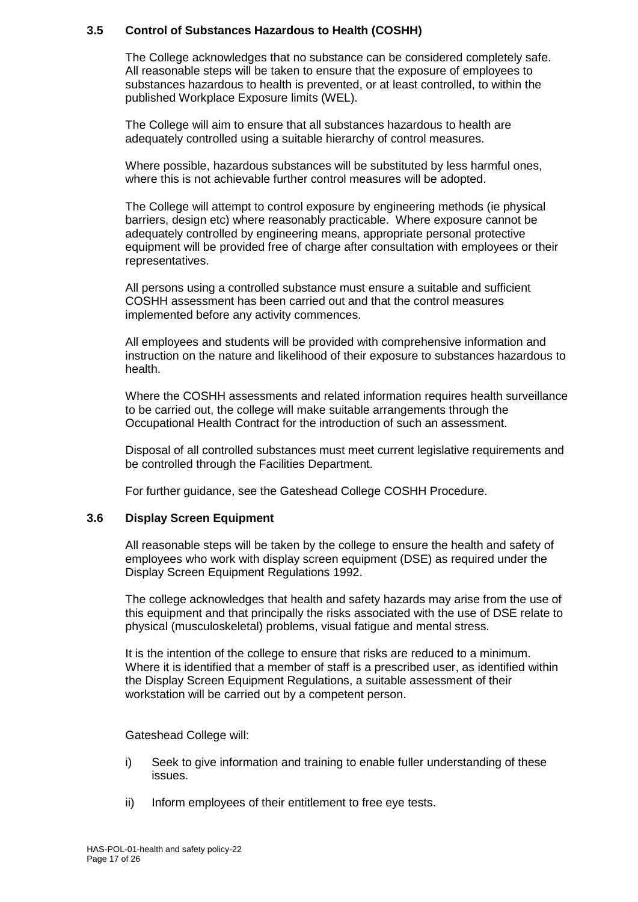# **3.5 Control of Substances Hazardous to Health (COSHH)**

The College acknowledges that no substance can be considered completely safe. All reasonable steps will be taken to ensure that the exposure of employees to substances hazardous to health is prevented, or at least controlled, to within the published Workplace Exposure limits (WEL).

The College will aim to ensure that all substances hazardous to health are adequately controlled using a suitable hierarchy of control measures.

Where possible, hazardous substances will be substituted by less harmful ones, where this is not achievable further control measures will be adopted.

The College will attempt to control exposure by engineering methods (ie physical barriers, design etc) where reasonably practicable. Where exposure cannot be adequately controlled by engineering means, appropriate personal protective equipment will be provided free of charge after consultation with employees or their representatives.

All persons using a controlled substance must ensure a suitable and sufficient COSHH assessment has been carried out and that the control measures implemented before any activity commences.

All employees and students will be provided with comprehensive information and instruction on the nature and likelihood of their exposure to substances hazardous to health.

Where the COSHH assessments and related information requires health surveillance to be carried out, the college will make suitable arrangements through the Occupational Health Contract for the introduction of such an assessment.

Disposal of all controlled substances must meet current legislative requirements and be controlled through the Facilities Department.

For further guidance, see the Gateshead College COSHH Procedure.

# **3.6 Display Screen Equipment**

All reasonable steps will be taken by the college to ensure the health and safety of employees who work with display screen equipment (DSE) as required under the Display Screen Equipment Regulations 1992.

The college acknowledges that health and safety hazards may arise from the use of this equipment and that principally the risks associated with the use of DSE relate to physical (musculoskeletal) problems, visual fatigue and mental stress.

It is the intention of the college to ensure that risks are reduced to a minimum. Where it is identified that a member of staff is a prescribed user, as identified within the Display Screen Equipment Regulations, a suitable assessment of their workstation will be carried out by a competent person.

Gateshead College will:

- i) Seek to give information and training to enable fuller understanding of these issues.
- ii) Inform employees of their entitlement to free eye tests.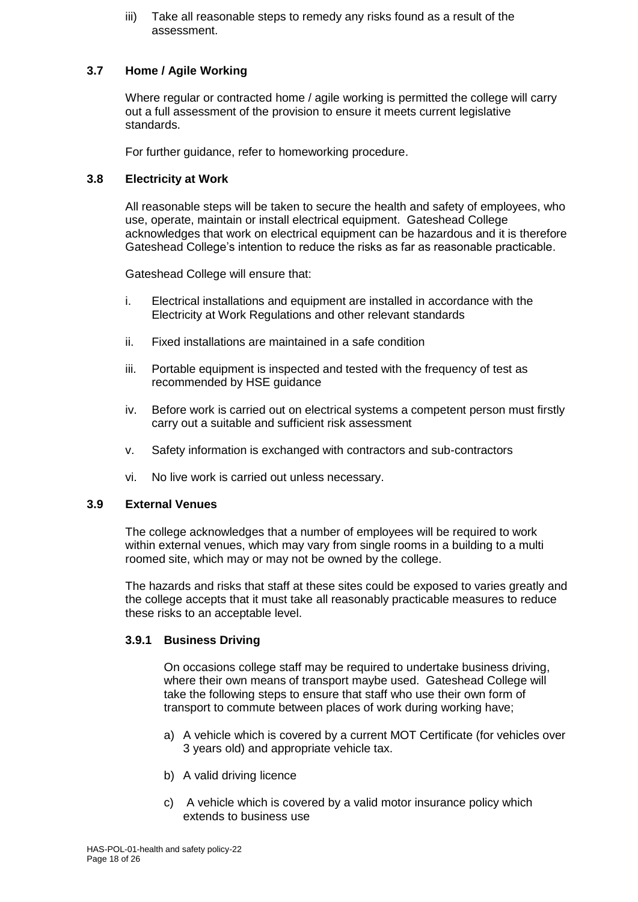iii) Take all reasonable steps to remedy any risks found as a result of the assessment.

# **3.7 Home / Agile Working**

Where regular or contracted home / agile working is permitted the college will carry out a full assessment of the provision to ensure it meets current legislative standards.

For further guidance, refer to homeworking procedure.

# **3.8 Electricity at Work**

All reasonable steps will be taken to secure the health and safety of employees, who use, operate, maintain or install electrical equipment. Gateshead College acknowledges that work on electrical equipment can be hazardous and it is therefore Gateshead College's intention to reduce the risks as far as reasonable practicable.

Gateshead College will ensure that:

- i. Electrical installations and equipment are installed in accordance with the Electricity at Work Regulations and other relevant standards
- ii. Fixed installations are maintained in a safe condition
- iii. Portable equipment is inspected and tested with the frequency of test as recommended by HSE guidance
- iv. Before work is carried out on electrical systems a competent person must firstly carry out a suitable and sufficient risk assessment
- v. Safety information is exchanged with contractors and sub-contractors
- vi. No live work is carried out unless necessary.

# **3.9 External Venues**

The college acknowledges that a number of employees will be required to work within external venues, which may vary from single rooms in a building to a multi roomed site, which may or may not be owned by the college.

The hazards and risks that staff at these sites could be exposed to varies greatly and the college accepts that it must take all reasonably practicable measures to reduce these risks to an acceptable level.

# **3.9.1 Business Driving**

On occasions college staff may be required to undertake business driving, where their own means of transport maybe used. Gateshead College will take the following steps to ensure that staff who use their own form of transport to commute between places of work during working have;

- a) A vehicle which is covered by a current MOT Certificate (for vehicles over 3 years old) and appropriate vehicle tax.
- b) A valid driving licence
- c) A vehicle which is covered by a valid motor insurance policy which extends to business use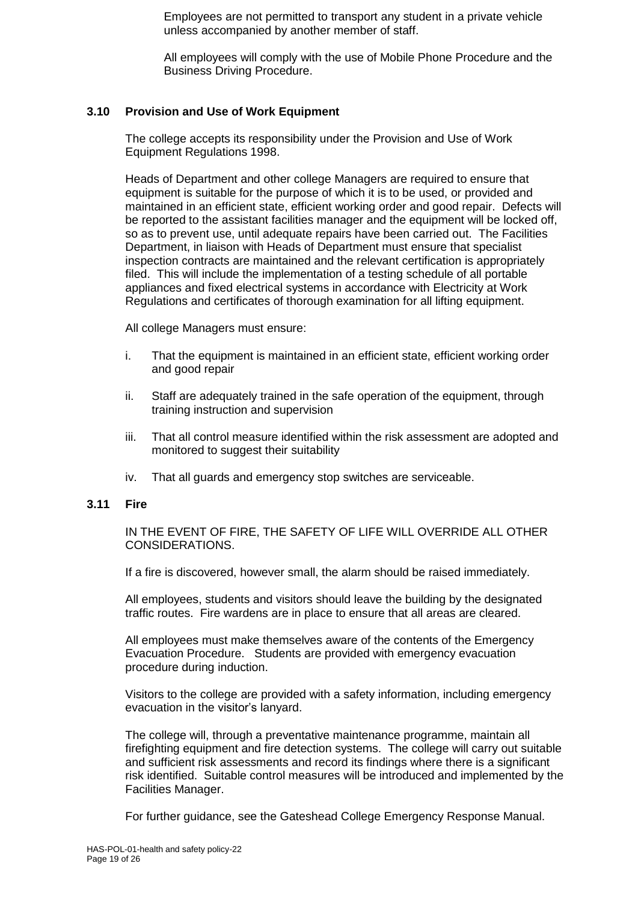Employees are not permitted to transport any student in a private vehicle unless accompanied by another member of staff.

All employees will comply with the use of Mobile Phone Procedure and the Business Driving Procedure.

# **3.10 Provision and Use of Work Equipment**

The college accepts its responsibility under the Provision and Use of Work Equipment Regulations 1998.

Heads of Department and other college Managers are required to ensure that equipment is suitable for the purpose of which it is to be used, or provided and maintained in an efficient state, efficient working order and good repair. Defects will be reported to the assistant facilities manager and the equipment will be locked off, so as to prevent use, until adequate repairs have been carried out. The Facilities Department, in liaison with Heads of Department must ensure that specialist inspection contracts are maintained and the relevant certification is appropriately filed. This will include the implementation of a testing schedule of all portable appliances and fixed electrical systems in accordance with Electricity at Work Regulations and certificates of thorough examination for all lifting equipment.

All college Managers must ensure:

- i. That the equipment is maintained in an efficient state, efficient working order and good repair
- ii. Staff are adequately trained in the safe operation of the equipment, through training instruction and supervision
- iii. That all control measure identified within the risk assessment are adopted and monitored to suggest their suitability
- iv. That all guards and emergency stop switches are serviceable.

#### **3.11 Fire**

IN THE EVENT OF FIRE, THE SAFETY OF LIFE WILL OVERRIDE ALL OTHER CONSIDERATIONS.

If a fire is discovered, however small, the alarm should be raised immediately.

All employees, students and visitors should leave the building by the designated traffic routes. Fire wardens are in place to ensure that all areas are cleared.

All employees must make themselves aware of the contents of the Emergency Evacuation Procedure. Students are provided with emergency evacuation procedure during induction.

Visitors to the college are provided with a safety information, including emergency evacuation in the visitor's lanyard.

The college will, through a preventative maintenance programme, maintain all firefighting equipment and fire detection systems. The college will carry out suitable and sufficient risk assessments and record its findings where there is a significant risk identified. Suitable control measures will be introduced and implemented by the Facilities Manager.

For further guidance, see the Gateshead College Emergency Response Manual.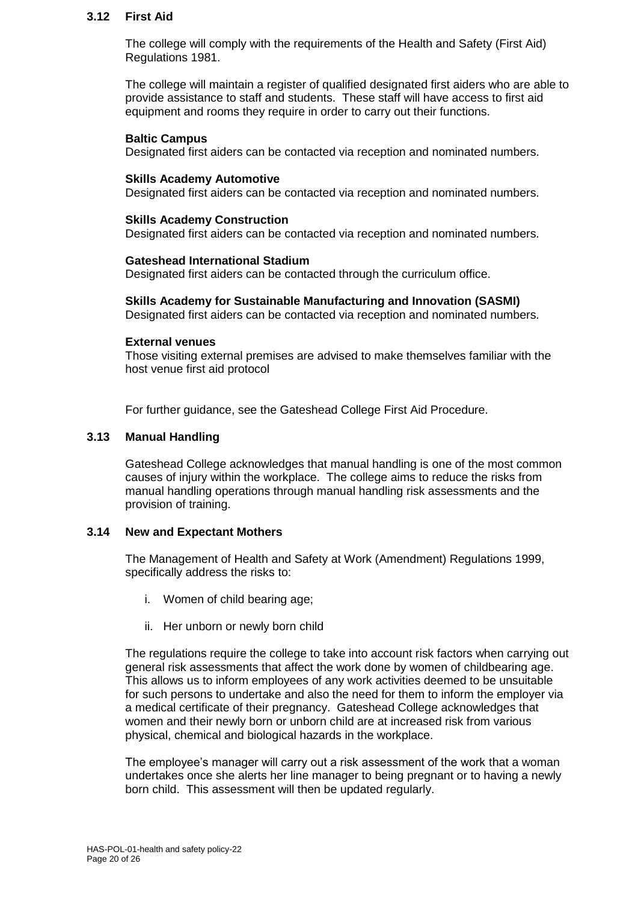#### **3.12 First Aid**

The college will comply with the requirements of the Health and Safety (First Aid) Regulations 1981.

The college will maintain a register of qualified designated first aiders who are able to provide assistance to staff and students. These staff will have access to first aid equipment and rooms they require in order to carry out their functions.

#### **Baltic Campus**

Designated first aiders can be contacted via reception and nominated numbers.

#### **Skills Academy Automotive**

Designated first aiders can be contacted via reception and nominated numbers.

#### **Skills Academy Construction**

Designated first aiders can be contacted via reception and nominated numbers.

#### **Gateshead International Stadium**

Designated first aiders can be contacted through the curriculum office.

#### **Skills Academy for Sustainable Manufacturing and Innovation (SASMI)**

Designated first aiders can be contacted via reception and nominated numbers.

#### **External venues**

Those visiting external premises are advised to make themselves familiar with the host venue first aid protocol

For further guidance, see the Gateshead College First Aid Procedure.

# **3.13 Manual Handling**

Gateshead College acknowledges that manual handling is one of the most common causes of injury within the workplace. The college aims to reduce the risks from manual handling operations through manual handling risk assessments and the provision of training.

#### **3.14 New and Expectant Mothers**

The Management of Health and Safety at Work (Amendment) Regulations 1999, specifically address the risks to:

- i. Women of child bearing age;
- ii. Her unborn or newly born child

The regulations require the college to take into account risk factors when carrying out general risk assessments that affect the work done by women of childbearing age. This allows us to inform employees of any work activities deemed to be unsuitable for such persons to undertake and also the need for them to inform the employer via a medical certificate of their pregnancy. Gateshead College acknowledges that women and their newly born or unborn child are at increased risk from various physical, chemical and biological hazards in the workplace.

The employee's manager will carry out a risk assessment of the work that a woman undertakes once she alerts her line manager to being pregnant or to having a newly born child. This assessment will then be updated regularly.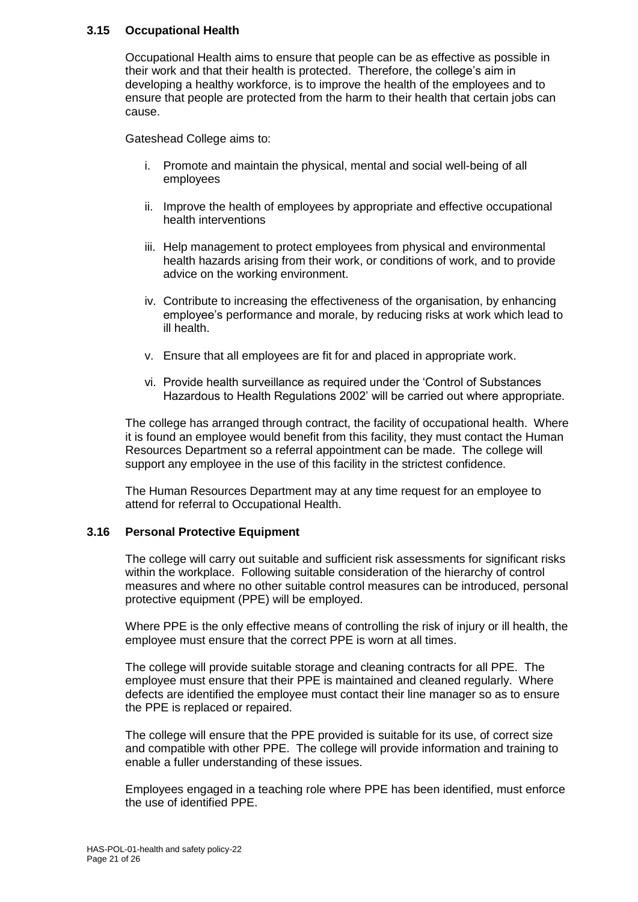# **3.15 Occupational Health**

Occupational Health aims to ensure that people can be as effective as possible in their work and that their health is protected. Therefore, the college's aim in developing a healthy workforce, is to improve the health of the employees and to ensure that people are protected from the harm to their health that certain jobs can cause.

Gateshead College aims to:

- i. Promote and maintain the physical, mental and social well-being of all employees
- ii. Improve the health of employees by appropriate and effective occupational health interventions
- iii. Help management to protect employees from physical and environmental health hazards arising from their work, or conditions of work, and to provide advice on the working environment.
- iv. Contribute to increasing the effectiveness of the organisation, by enhancing employee's performance and morale, by reducing risks at work which lead to ill health.
- v. Ensure that all employees are fit for and placed in appropriate work.
- vi. Provide health surveillance as required under the 'Control of Substances Hazardous to Health Regulations 2002' will be carried out where appropriate.

The college has arranged through contract, the facility of occupational health. Where it is found an employee would benefit from this facility, they must contact the Human Resources Department so a referral appointment can be made. The college will support any employee in the use of this facility in the strictest confidence.

The Human Resources Department may at any time request for an employee to attend for referral to Occupational Health.

# **3.16 Personal Protective Equipment**

The college will carry out suitable and sufficient risk assessments for significant risks within the workplace. Following suitable consideration of the hierarchy of control measures and where no other suitable control measures can be introduced, personal protective equipment (PPE) will be employed.

Where PPE is the only effective means of controlling the risk of injury or ill health, the employee must ensure that the correct PPE is worn at all times.

The college will provide suitable storage and cleaning contracts for all PPE. The employee must ensure that their PPE is maintained and cleaned regularly. Where defects are identified the employee must contact their line manager so as to ensure the PPE is replaced or repaired.

The college will ensure that the PPE provided is suitable for its use, of correct size and compatible with other PPE. The college will provide information and training to enable a fuller understanding of these issues.

Employees engaged in a teaching role where PPE has been identified, must enforce the use of identified PPE.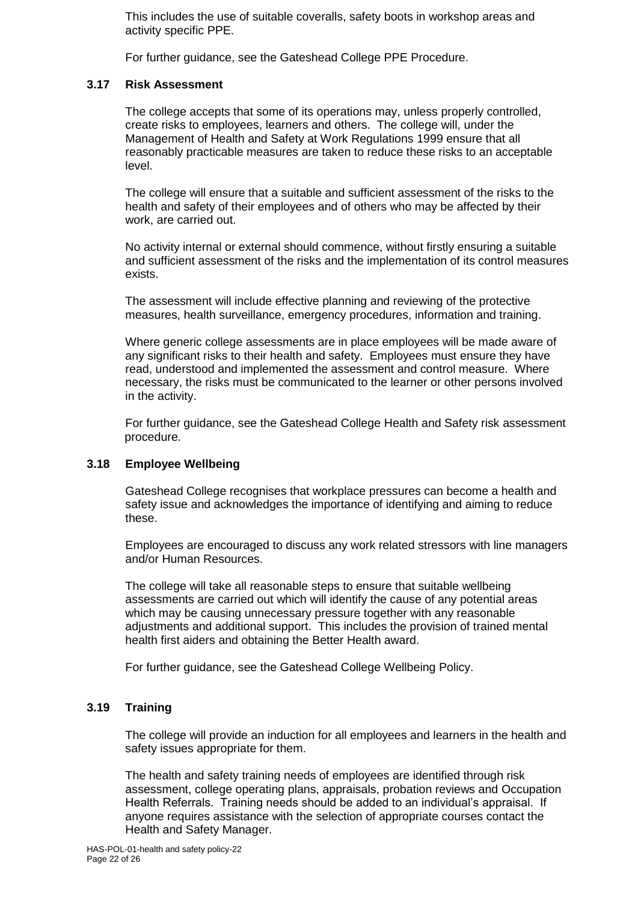This includes the use of suitable coveralls, safety boots in workshop areas and activity specific PPE.

For further guidance, see the Gateshead College PPE Procedure.

# **3.17 Risk Assessment**

The college accepts that some of its operations may, unless properly controlled, create risks to employees, learners and others. The college will, under the Management of Health and Safety at Work Regulations 1999 ensure that all reasonably practicable measures are taken to reduce these risks to an acceptable level.

The college will ensure that a suitable and sufficient assessment of the risks to the health and safety of their employees and of others who may be affected by their work, are carried out.

No activity internal or external should commence, without firstly ensuring a suitable and sufficient assessment of the risks and the implementation of its control measures exists.

The assessment will include effective planning and reviewing of the protective measures, health surveillance, emergency procedures, information and training.

Where generic college assessments are in place employees will be made aware of any significant risks to their health and safety. Employees must ensure they have read, understood and implemented the assessment and control measure. Where necessary, the risks must be communicated to the learner or other persons involved in the activity.

For further guidance, see the Gateshead College Health and Safety risk assessment procedure.

# **3.18 Employee Wellbeing**

Gateshead College recognises that workplace pressures can become a health and safety issue and acknowledges the importance of identifying and aiming to reduce these.

Employees are encouraged to discuss any work related stressors with line managers and/or Human Resources.

The college will take all reasonable steps to ensure that suitable wellbeing assessments are carried out which will identify the cause of any potential areas which may be causing unnecessary pressure together with any reasonable adjustments and additional support. This includes the provision of trained mental health first aiders and obtaining the Better Health award.

For further guidance, see the Gateshead College Wellbeing Policy.

# **3.19 Training**

The college will provide an induction for all employees and learners in the health and safety issues appropriate for them.

The health and safety training needs of employees are identified through risk assessment, college operating plans, appraisals, probation reviews and Occupation Health Referrals. Training needs should be added to an individual's appraisal. If anyone requires assistance with the selection of appropriate courses contact the Health and Safety Manager.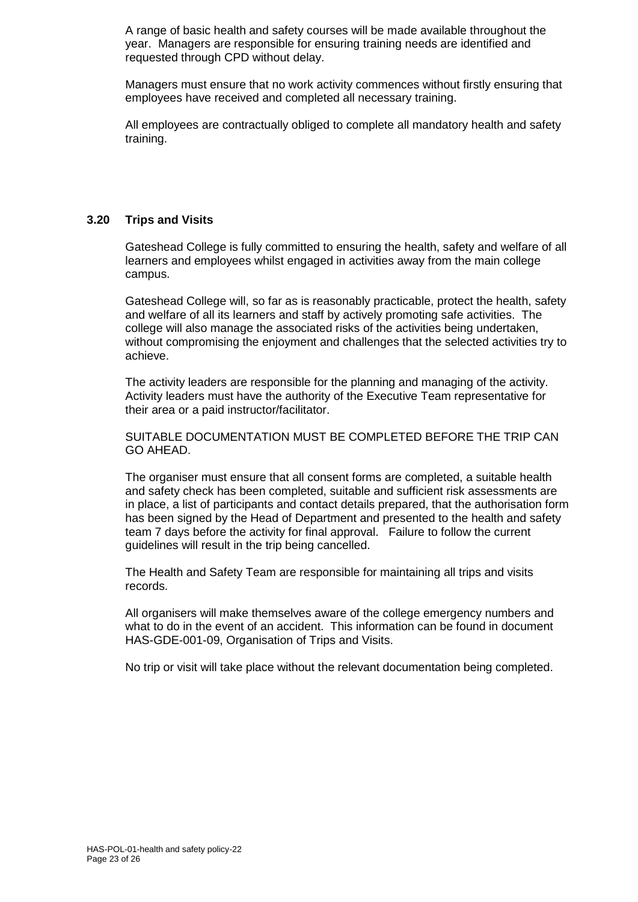A range of basic health and safety courses will be made available throughout the year. Managers are responsible for ensuring training needs are identified and requested through CPD without delay.

Managers must ensure that no work activity commences without firstly ensuring that employees have received and completed all necessary training.

All employees are contractually obliged to complete all mandatory health and safety training.

# **3.20 Trips and Visits**

Gateshead College is fully committed to ensuring the health, safety and welfare of all learners and employees whilst engaged in activities away from the main college campus.

Gateshead College will, so far as is reasonably practicable, protect the health, safety and welfare of all its learners and staff by actively promoting safe activities. The college will also manage the associated risks of the activities being undertaken, without compromising the enjoyment and challenges that the selected activities try to achieve.

The activity leaders are responsible for the planning and managing of the activity. Activity leaders must have the authority of the Executive Team representative for their area or a paid instructor/facilitator.

SUITABLE DOCUMENTATION MUST BE COMPLETED BEFORE THE TRIP CAN GO AHEAD.

The organiser must ensure that all consent forms are completed, a suitable health and safety check has been completed, suitable and sufficient risk assessments are in place, a list of participants and contact details prepared, that the authorisation form has been signed by the Head of Department and presented to the health and safety team 7 days before the activity for final approval. Failure to follow the current guidelines will result in the trip being cancelled.

The Health and Safety Team are responsible for maintaining all trips and visits records.

All organisers will make themselves aware of the college emergency numbers and what to do in the event of an accident. This information can be found in document HAS-GDE-001-09, Organisation of Trips and Visits.

No trip or visit will take place without the relevant documentation being completed.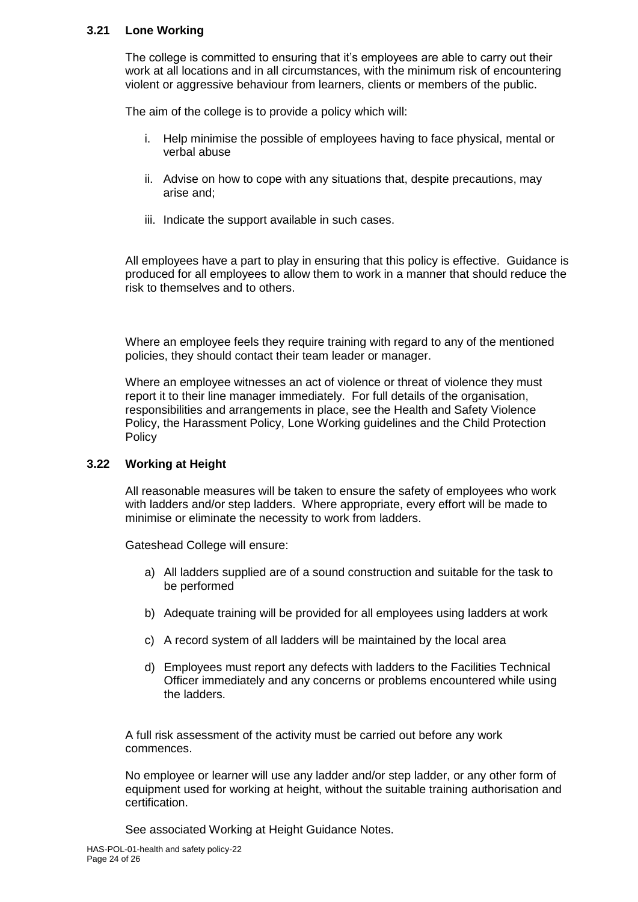# **3.21 Lone Working**

The college is committed to ensuring that it's employees are able to carry out their work at all locations and in all circumstances, with the minimum risk of encountering violent or aggressive behaviour from learners, clients or members of the public.

The aim of the college is to provide a policy which will:

- i. Help minimise the possible of employees having to face physical, mental or verbal abuse
- ii. Advise on how to cope with any situations that, despite precautions, may arise and;
- iii. Indicate the support available in such cases.

All employees have a part to play in ensuring that this policy is effective. Guidance is produced for all employees to allow them to work in a manner that should reduce the risk to themselves and to others.

Where an employee feels they require training with regard to any of the mentioned policies, they should contact their team leader or manager.

Where an employee witnesses an act of violence or threat of violence they must report it to their line manager immediately. For full details of the organisation, responsibilities and arrangements in place, see the Health and Safety Violence Policy, the Harassment Policy, Lone Working guidelines and the Child Protection **Policy** 

# **3.22 Working at Height**

All reasonable measures will be taken to ensure the safety of employees who work with ladders and/or step ladders. Where appropriate, every effort will be made to minimise or eliminate the necessity to work from ladders.

Gateshead College will ensure:

- a) All ladders supplied are of a sound construction and suitable for the task to be performed
- b) Adequate training will be provided for all employees using ladders at work
- c) A record system of all ladders will be maintained by the local area
- d) Employees must report any defects with ladders to the Facilities Technical Officer immediately and any concerns or problems encountered while using the ladders.

A full risk assessment of the activity must be carried out before any work commences.

No employee or learner will use any ladder and/or step ladder, or any other form of equipment used for working at height, without the suitable training authorisation and certification.

See associated Working at Height Guidance Notes.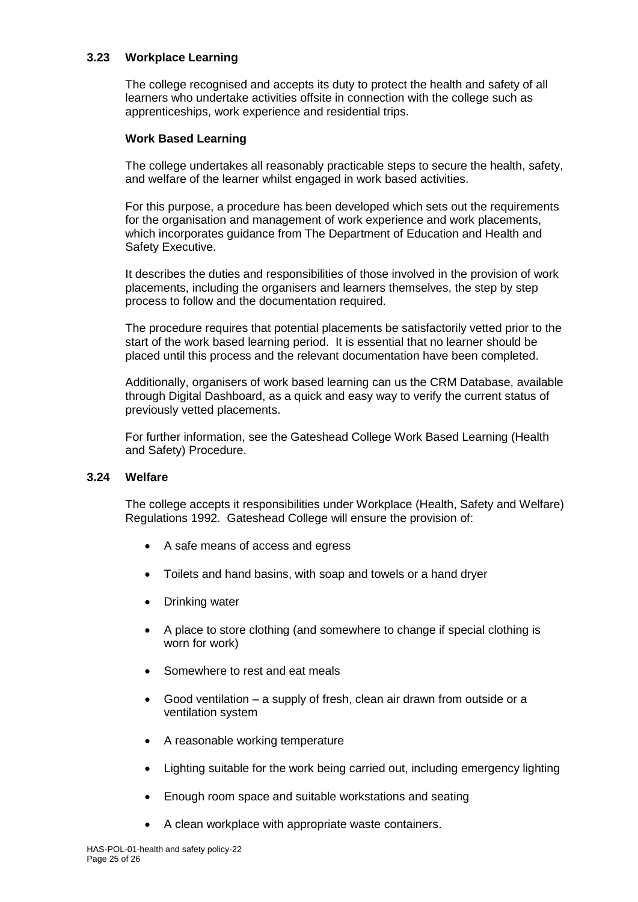# **3.23 Workplace Learning**

The college recognised and accepts its duty to protect the health and safety of all learners who undertake activities offsite in connection with the college such as apprenticeships, work experience and residential trips.

#### **Work Based Learning**

The college undertakes all reasonably practicable steps to secure the health, safety, and welfare of the learner whilst engaged in work based activities.

For this purpose, a procedure has been developed which sets out the requirements for the organisation and management of work experience and work placements, which incorporates guidance from The Department of Education and Health and Safety Executive.

It describes the duties and responsibilities of those involved in the provision of work placements, including the organisers and learners themselves, the step by step process to follow and the documentation required.

The procedure requires that potential placements be satisfactorily vetted prior to the start of the work based learning period. It is essential that no learner should be placed until this process and the relevant documentation have been completed.

Additionally, organisers of work based learning can us the CRM Database, available through Digital Dashboard, as a quick and easy way to verify the current status of previously vetted placements.

For further information, see the Gateshead College Work Based Learning (Health and Safety) Procedure.

# **3.24 Welfare**

The college accepts it responsibilities under Workplace (Health, Safety and Welfare) Regulations 1992. Gateshead College will ensure the provision of:

- A safe means of access and egress
- Toilets and hand basins, with soap and towels or a hand dryer
- Drinking water
- A place to store clothing (and somewhere to change if special clothing is worn for work)
- Somewhere to rest and eat meals
- Good ventilation a supply of fresh, clean air drawn from outside or a ventilation system
- A reasonable working temperature
- Lighting suitable for the work being carried out, including emergency lighting
- Enough room space and suitable workstations and seating
- A clean workplace with appropriate waste containers.